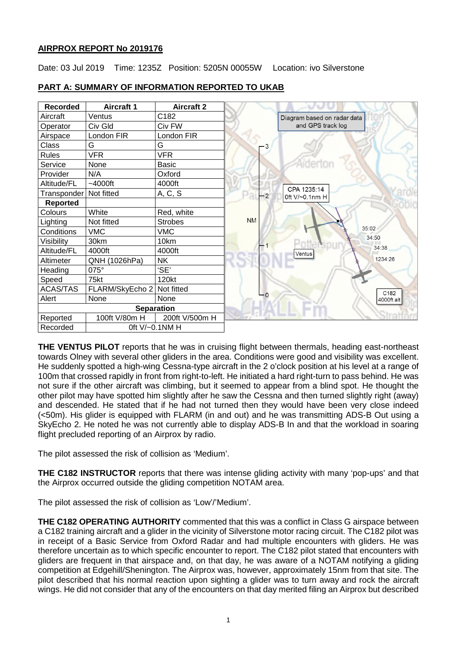## **AIRPROX REPORT No 2019176**

Date: 03 Jul 2019 Time: 1235Z Position: 5205N 00055W Location: ivo Silverstone

| <b>Recorded</b>   | <b>Aircraft 1</b> | <b>Aircraft 2</b> |           |                               |       |
|-------------------|-------------------|-------------------|-----------|-------------------------------|-------|
| Aircraft          | Ventus            | C182              |           | Diagram based on radar data   |       |
| Operator          | Civ Gld           | Civ FW            |           | and GPS track log             |       |
| Airspace          | London FIR        | London FIR        |           |                               |       |
| G<br><b>Class</b> |                   | G                 | - 3       |                               |       |
| <b>Rules</b>      | <b>VFR</b>        | <b>VFR</b>        |           |                               |       |
| Service           | None              | <b>Basic</b>      |           |                               |       |
| Provider          | N/A               | Oxford            |           |                               |       |
| Altitude/FL       | $~1000$ ft        | 4000ft            |           |                               |       |
| Transponder       | Not fitted        | A, C, S           | $-2$      | CPA 1235:14<br>0ft V/~0.1nm H |       |
| <b>Reported</b>   |                   |                   |           |                               |       |
| Colours           | White             | Red, white        |           |                               |       |
| Lighting          | Not fitted        | <b>Strobes</b>    | <b>NM</b> |                               |       |
| Conditions        | <b>VMC</b>        | <b>VMC</b>        |           |                               | 35:02 |
| Visibility        | 30km              | 10km              |           |                               | 34:50 |
| Altitude/FL       | 4000ft            | 4000ft            |           | Ventus                        |       |
| Altimeter         | QNH (1026hPa)     | <b>NK</b>         |           |                               |       |
| Heading           | 075°              | 'SE'              |           |                               |       |
| Speed             | 75kt              | 120kt             |           |                               |       |
| <b>ACAS/TAS</b>   | FLARM/SkyEcho 2   | Not fitted        | - 0       |                               |       |
| Alert             | None              | None              |           |                               |       |
| <b>Separation</b> |                   |                   |           |                               |       |
| Reported          | 100ft V/80m H     | 200ft V/500m H    |           |                               |       |
| Recorded          | 0ft V/~0.1NM H    |                   |           |                               |       |

# **PART A: SUMMARY OF INFORMATION REPORTED TO UKAB**

**THE VENTUS PILOT** reports that he was in cruising flight between thermals, heading east-northeast towards Olney with several other gliders in the area. Conditions were good and visibility was excellent. He suddenly spotted a high-wing Cessna-type aircraft in the 2 o'clock position at his level at a range of 100m that crossed rapidly in front from right-to-left. He initiated a hard right-turn to pass behind. He was not sure if the other aircraft was climbing, but it seemed to appear from a blind spot. He thought the other pilot may have spotted him slightly after he saw the Cessna and then turned slightly right (away) and descended. He stated that if he had not turned then they would have been very close indeed (<50m). His glider is equipped with FLARM (in and out) and he was transmitting ADS-B Out using a SkyEcho 2. He noted he was not currently able to display ADS-B In and that the workload in soaring flight precluded reporting of an Airprox by radio.

The pilot assessed the risk of collision as 'Medium'.

**THE C182 INSTRUCTOR** reports that there was intense gliding activity with many 'pop-ups' and that the Airprox occurred outside the gliding competition NOTAM area.

The pilot assessed the risk of collision as 'Low'/'Medium'.

**THE C182 OPERATING AUTHORITY** commented that this was a conflict in Class G airspace between a C182 training aircraft and a glider in the vicinity of Silverstone motor racing circuit. The C182 pilot was in receipt of a Basic Service from Oxford Radar and had multiple encounters with gliders. He was therefore uncertain as to which specific encounter to report. The C182 pilot stated that encounters with gliders are frequent in that airspace and, on that day, he was aware of a NOTAM notifying a gliding competition at Edgehill/Shenington. The Airprox was, however, approximately 15nm from that site. The pilot described that his normal reaction upon sighting a glider was to turn away and rock the aircraft wings. He did not consider that any of the encounters on that day merited filing an Airprox but described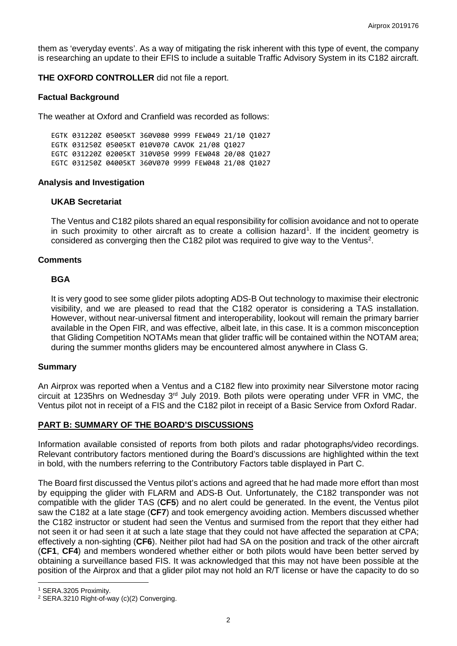them as 'everyday events'. As a way of mitigating the risk inherent with this type of event, the company is researching an update to their EFIS to include a suitable Traffic Advisory System in its C182 aircraft.

**THE OXFORD CONTROLLER** did not file a report.

## **Factual Background**

The weather at Oxford and Cranfield was recorded as follows:

EGTK 031220Z 05005KT 360V080 9999 FEW049 21/10 Q1027 EGTK 031250Z 05005KT 010V070 CAVOK 21/08 Q1027 EGTC 031220Z 02005KT 310V050 9999 FEW048 20/08 Q1027 EGTC 031250Z 04005KT 360V070 9999 FEW048 21/08 Q1027

## **Analysis and Investigation**

## **UKAB Secretariat**

The Ventus and C182 pilots shared an equal responsibility for collision avoidance and not to operate in such proximity to other aircraft as to create a collision hazard<sup>[1](#page-1-0)</sup>. If the incident geometry is considered as converging then the C18[2](#page-1-1) pilot was required to give way to the Ventus<sup>2</sup>.

## **Comments**

## **BGA**

It is very good to see some glider pilots adopting ADS-B Out technology to maximise their electronic visibility, and we are pleased to read that the C182 operator is considering a TAS installation. However, without near-universal fitment and interoperability, lookout will remain the primary barrier available in the Open FIR, and was effective, albeit late, in this case. It is a common misconception that Gliding Competition NOTAMs mean that glider traffic will be contained within the NOTAM area; during the summer months gliders may be encountered almost anywhere in Class G.

#### **Summary**

An Airprox was reported when a Ventus and a C182 flew into proximity near Silverstone motor racing circuit at 1235hrs on Wednesday 3rd July 2019. Both pilots were operating under VFR in VMC, the Ventus pilot not in receipt of a FIS and the C182 pilot in receipt of a Basic Service from Oxford Radar.

## **PART B: SUMMARY OF THE BOARD'S DISCUSSIONS**

Information available consisted of reports from both pilots and radar photographs/video recordings. Relevant contributory factors mentioned during the Board's discussions are highlighted within the text in bold, with the numbers referring to the Contributory Factors table displayed in Part C.

The Board first discussed the Ventus pilot's actions and agreed that he had made more effort than most by equipping the glider with FLARM and ADS-B Out. Unfortunately, the C182 transponder was not compatible with the glider TAS (**CF5**) and no alert could be generated. In the event, the Ventus pilot saw the C182 at a late stage (**CF7**) and took emergency avoiding action. Members discussed whether the C182 instructor or student had seen the Ventus and surmised from the report that they either had not seen it or had seen it at such a late stage that they could not have affected the separation at CPA; effectively a non-sighting (**CF6**). Neither pilot had had SA on the position and track of the other aircraft (**CF1**, **CF4**) and members wondered whether either or both pilots would have been better served by obtaining a surveillance based FIS. It was acknowledged that this may not have been possible at the position of the Airprox and that a glider pilot may not hold an R/T license or have the capacity to do so

 $\overline{\phantom{a}}$ 

<span id="page-1-0"></span><sup>1</sup> SERA.3205 Proximity.

<span id="page-1-1"></span><sup>&</sup>lt;sup>2</sup> SERA.3210 Right-of-way (c)(2) Converging.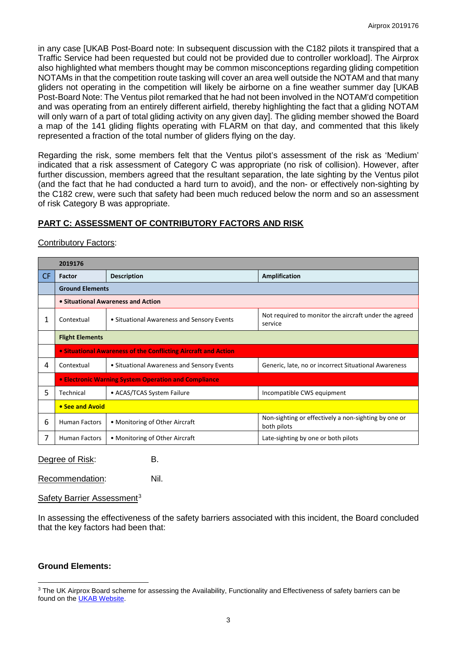in any case [UKAB Post-Board note: In subsequent discussion with the C182 pilots it transpired that a Traffic Service had been requested but could not be provided due to controller workload]. The Airprox also highlighted what members thought may be common misconceptions regarding gliding competition NOTAMs in that the competition route tasking will cover an area well outside the NOTAM and that many gliders not operating in the competition will likely be airborne on a fine weather summer day [UKAB Post-Board Note: The Ventus pilot remarked that he had not been involved in the NOTAM'd competition and was operating from an entirely different airfield, thereby highlighting the fact that a gliding NOTAM will only warn of a part of total gliding activity on any given day]. The gliding member showed the Board a map of the 141 gliding flights operating with FLARM on that day, and commented that this likely represented a fraction of the total number of gliders flying on the day.

Regarding the risk, some members felt that the Ventus pilot's assessment of the risk as 'Medium' indicated that a risk assessment of Category C was appropriate (no risk of collision). However, after further discussion, members agreed that the resultant separation, the late sighting by the Ventus pilot (and the fact that he had conducted a hard turn to avoid), and the non- or effectively non-sighting by the C182 crew, were such that safety had been much reduced below the norm and so an assessment of risk Category B was appropriate.

# **PART C: ASSESSMENT OF CONTRIBUTORY FACTORS AND RISK**

#### Contributory Factors:

|           | 2019176                                                        |                                            |                                                                     |  |  |  |  |  |
|-----------|----------------------------------------------------------------|--------------------------------------------|---------------------------------------------------------------------|--|--|--|--|--|
| <b>CF</b> | Factor                                                         | <b>Description</b>                         | Amplification                                                       |  |  |  |  |  |
|           | <b>Ground Elements</b>                                         |                                            |                                                                     |  |  |  |  |  |
|           | • Situational Awareness and Action                             |                                            |                                                                     |  |  |  |  |  |
| 1         | Contextual                                                     | • Situational Awareness and Sensory Events | Not required to monitor the aircraft under the agreed<br>service    |  |  |  |  |  |
|           | <b>Flight Elements</b>                                         |                                            |                                                                     |  |  |  |  |  |
|           | • Situational Awareness of the Conflicting Aircraft and Action |                                            |                                                                     |  |  |  |  |  |
| 4         | Contextual                                                     | • Situational Awareness and Sensory Events | Generic, late, no or incorrect Situational Awareness                |  |  |  |  |  |
|           | • Electronic Warning System Operation and Compliance           |                                            |                                                                     |  |  |  |  |  |
| 5         | Technical                                                      | • ACAS/TCAS System Failure                 | Incompatible CWS equipment                                          |  |  |  |  |  |
|           | • See and Avoid                                                |                                            |                                                                     |  |  |  |  |  |
| 6         | <b>Human Factors</b>                                           | • Monitoring of Other Aircraft             | Non-sighting or effectively a non-sighting by one or<br>both pilots |  |  |  |  |  |
| 7         | <b>Human Factors</b>                                           | • Monitoring of Other Aircraft             | Late-sighting by one or both pilots                                 |  |  |  |  |  |

Degree of Risk: B.

Recommendation: Nil.

#### Safety Barrier Assessment<sup>[3](#page-2-0)</sup>

In assessing the effectiveness of the safety barriers associated with this incident, the Board concluded that the key factors had been that:

#### **Ground Elements:**

 $\overline{\phantom{a}}$ 

<span id="page-2-0"></span><sup>&</sup>lt;sup>3</sup> The UK Airprox Board scheme for assessing the Availability, Functionality and Effectiveness of safety barriers can be found on the [UKAB Website.](http://www.airproxboard.org.uk/Learn-more/Airprox-Barrier-Assessment/)